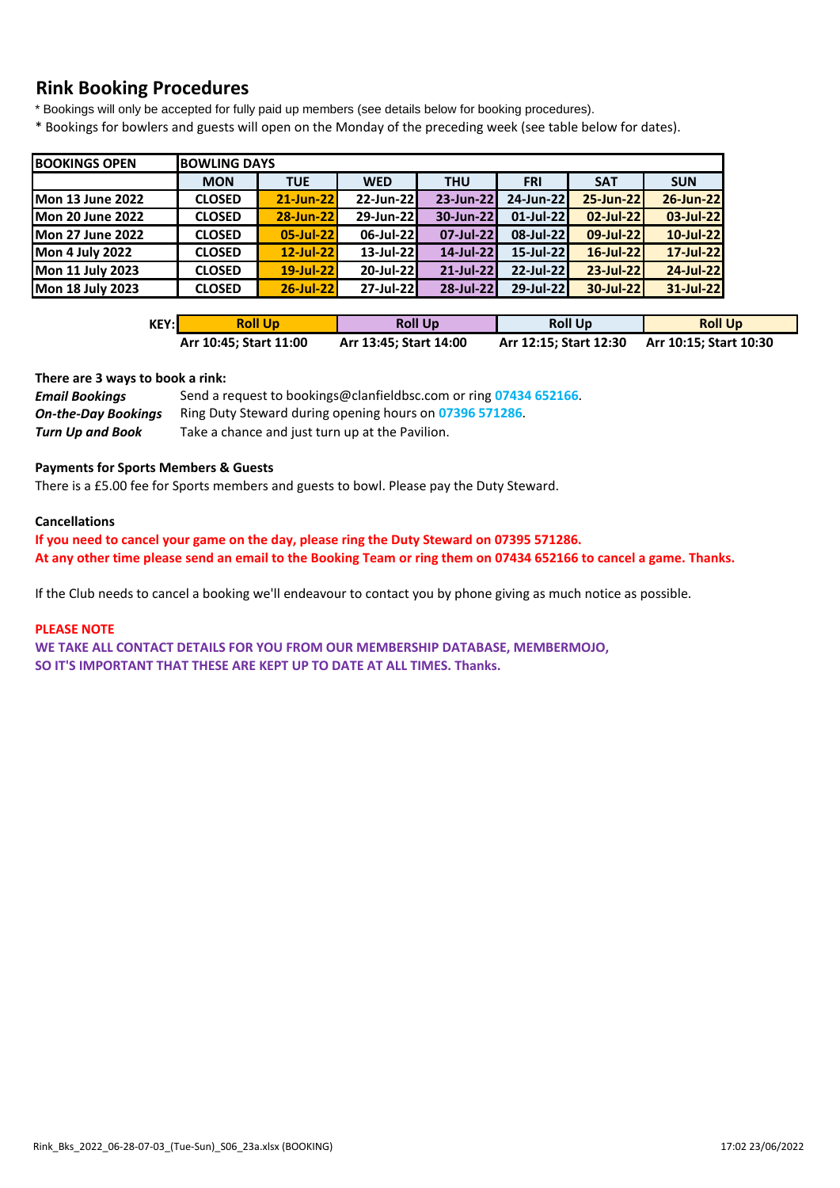# **Rink Booking Procedures**

\* Bookings will only be accepted for fully paid up members (see details below for booking procedures).

\* Bookings for bowlers and guests will open on the Monday of the preceding week (see table below for dates).

| <b>BOOKINGS OPEN</b>    |               | <b>BOWLING DAYS</b> |              |            |              |            |            |  |  |  |  |  |  |
|-------------------------|---------------|---------------------|--------------|------------|--------------|------------|------------|--|--|--|--|--|--|
|                         | <b>MON</b>    | <b>TUE</b>          | <b>WED</b>   | <b>THU</b> | <b>FRI</b>   | <b>SAT</b> | <b>SUN</b> |  |  |  |  |  |  |
| <b>Mon 13 June 2022</b> | <b>CLOSED</b> | 21-Jun-22           | 22-Jun-22    | 23-Jun-22  | 24-Jun-22    | 25-Jun-22  | 26-Jun-22  |  |  |  |  |  |  |
| <b>Mon 20 June 2022</b> | <b>CLOSED</b> | 28-Jun-22           | 29-Jun-22    | 30-Jun-22  | $01$ -Jul-22 | 02-Jul-22  | 03-Jul-22  |  |  |  |  |  |  |
| <b>Mon 27 June 2022</b> | <b>CLOSED</b> | 05-Jul-22           | 06-Jul-22    | 07-Jul-22  | 08-Jul-22    | 09-Jul-22  | 10-Jul-22  |  |  |  |  |  |  |
| <b>Mon 4 July 2022</b>  | <b>CLOSED</b> | 12-Jul-22           | $13$ -Jul-22 | 14-Jul-22  | $15$ -Jul-22 | 16-Jul-22  | 17-Jul-22  |  |  |  |  |  |  |
| Mon 11 July 2023        | <b>CLOSED</b> | 19-Jul-22           | 20-Jul-22    | 21-Jul-22  | 22-Jul-22    | 23-Jul-22  | 24-Jul-22  |  |  |  |  |  |  |
| <b>Mon 18 July 2023</b> | <b>CLOSED</b> | 26-Jul-22           | $27$ -Jul-22 | 28-Jul-22  | 29-Jul-22    | 30-Jul-22  | 31-Jul-22  |  |  |  |  |  |  |

| KEY:l | <b>Roll Up</b>         | <b>Roll Up</b>         | <b>Roll Up</b>         | <b>Roll Up</b>         |
|-------|------------------------|------------------------|------------------------|------------------------|
|       | Arr 10:45; Start 11:00 | Arr 13:45; Start 14:00 | Arr 12:15; Start 12:30 | Arr 10:15; Start 10:30 |

#### **There are 3 ways to book a rink:**

| <b>Email Bookings</b>      | Send a request to bookings@clanfieldbsc.com or ring 07434 652166. |
|----------------------------|-------------------------------------------------------------------|
| <b>On-the-Day Bookings</b> | Ring Duty Steward during opening hours on 07396 571286.           |
| Turn Up and Book           | Take a chance and just turn up at the Pavilion.                   |

## **Payments for Sports Members & Guests**

There is a £5.00 fee for Sports members and guests to bowl. Please pay the Duty Steward.

## **Cancellations**

**If you need to cancel your game on the day, please ring the Duty Steward on 07395 571286. At any other time please send an email to the Booking Team or ring them on 07434 652166 to cancel a game. Thanks.**

If the Club needs to cancel a booking we'll endeavour to contact you by phone giving as much notice as possible.

#### **PLEASE NOTE**

**WE TAKE ALL CONTACT DETAILS FOR YOU FROM OUR MEMBERSHIP DATABASE, MEMBERMOJO, SO IT'S IMPORTANT THAT THESE ARE KEPT UP TO DATE AT ALL TIMES. Thanks.**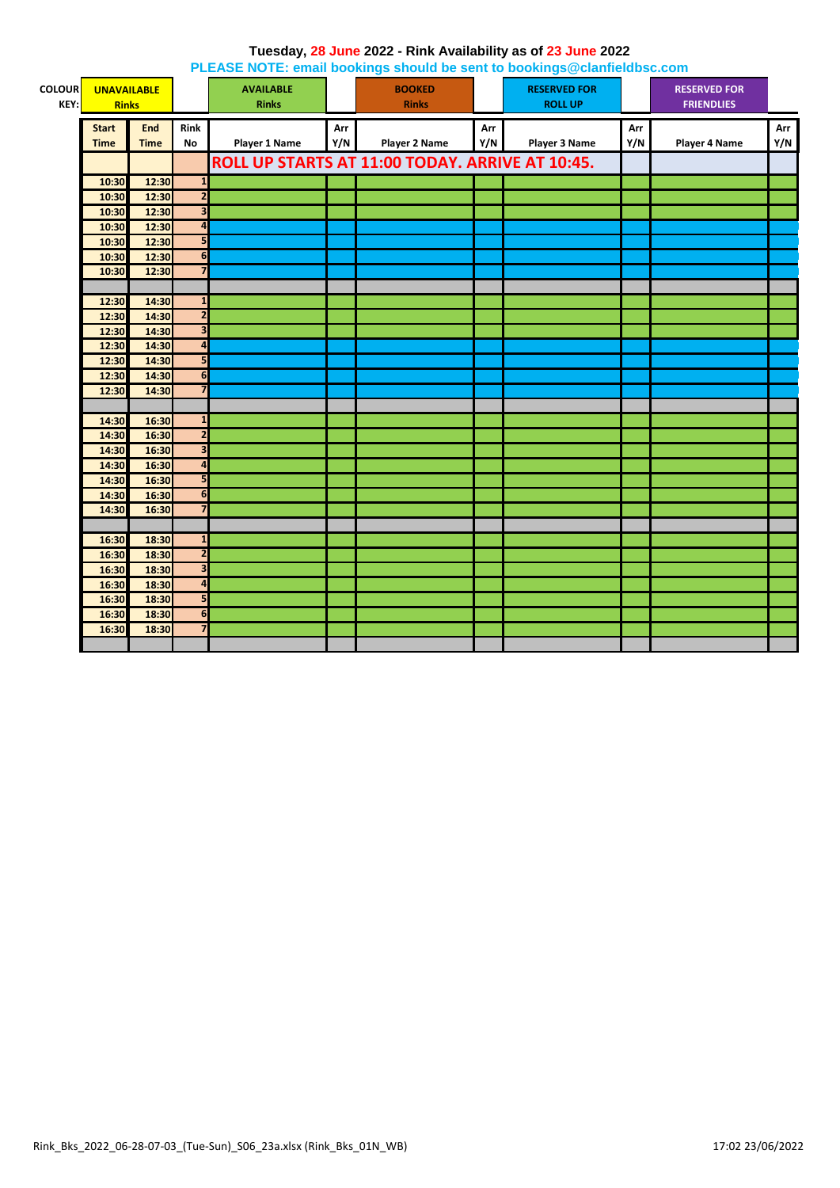|               |                    |             |                         | <b>I LLAOL NOTE: Chian bookings should be sent to bookings @ciannelabsc.com</b> |     |                                                 |     |                      |     |                      |     |
|---------------|--------------------|-------------|-------------------------|---------------------------------------------------------------------------------|-----|-------------------------------------------------|-----|----------------------|-----|----------------------|-----|
| <b>COLOUR</b> | <b>UNAVAILABLE</b> |             |                         | <b>AVAILABLE</b>                                                                |     | <b>BOOKED</b>                                   |     | <b>RESERVED FOR</b>  |     | <b>RESERVED FOR</b>  |     |
| KEY:          | <b>Rinks</b>       |             |                         | <b>Rinks</b>                                                                    |     | <b>Rinks</b>                                    |     | <b>ROLL UP</b>       |     | <b>FRIENDLIES</b>    |     |
|               | <b>Start</b>       | <b>End</b>  | Rink                    |                                                                                 | Arr |                                                 | Arr |                      | Arr |                      | Arr |
|               | <b>Time</b>        | <b>Time</b> | <b>No</b>               | <b>Player 1 Name</b>                                                            | Y/N | <b>Player 2 Name</b>                            | Y/N | <b>Player 3 Name</b> | Y/N | <b>Player 4 Name</b> | Y/N |
|               |                    |             |                         |                                                                                 |     |                                                 |     |                      |     |                      |     |
|               |                    |             |                         |                                                                                 |     | ROLL UP STARTS AT 11:00 TODAY. ARRIVE AT 10:45. |     |                      |     |                      |     |
|               | 10:30              | 12:30       | $\mathbf{1}$            |                                                                                 |     |                                                 |     |                      |     |                      |     |
|               | 10:30              | 12:30       | $\overline{2}$          |                                                                                 |     |                                                 |     |                      |     |                      |     |
|               | 10:30              | 12:30       | $\overline{\mathbf{3}}$ |                                                                                 |     |                                                 |     |                      |     |                      |     |
|               | 10:30              | 12:30       | $\overline{\mathbf{A}}$ |                                                                                 |     |                                                 |     |                      |     |                      |     |
|               | 10:30              | 12:30       | 5                       |                                                                                 |     |                                                 |     |                      |     |                      |     |
|               | 10:30              | 12:30       | 6                       |                                                                                 |     |                                                 |     |                      |     |                      |     |
|               | 10:30              | 12:30       | $\overline{\mathbf{z}}$ |                                                                                 |     |                                                 |     |                      |     |                      |     |
|               |                    |             |                         |                                                                                 |     |                                                 |     |                      |     |                      |     |
|               | 12:30              | 14:30       | $\mathbf 1$             |                                                                                 |     |                                                 |     |                      |     |                      |     |
|               | 12:30              | 14:30       | $\overline{\mathbf{2}}$ |                                                                                 |     |                                                 |     |                      |     |                      |     |
|               | 12:30              | 14:30       | $\overline{\mathbf{3}}$ |                                                                                 |     |                                                 |     |                      |     |                      |     |
|               | 12:30              | 14:30       | $\overline{\mathbf{a}}$ |                                                                                 |     |                                                 |     |                      |     |                      |     |
|               | 12:30              | 14:30       | 5                       |                                                                                 |     |                                                 |     |                      |     |                      |     |
|               | 12:30              | 14:30       | 6                       |                                                                                 |     |                                                 |     |                      |     |                      |     |
|               | 12:30              | 14:30       | $\overline{\mathbf{z}}$ |                                                                                 |     |                                                 |     |                      |     |                      |     |
|               |                    |             |                         |                                                                                 |     |                                                 |     |                      |     |                      |     |
|               | 14:30              | 16:30       | $\mathbf{1}$            |                                                                                 |     |                                                 |     |                      |     |                      |     |
|               | 14:30              | 16:30       | $\overline{2}$          |                                                                                 |     |                                                 |     |                      |     |                      |     |
|               | 14:30              | 16:30       | $\overline{\mathbf{3}}$ |                                                                                 |     |                                                 |     |                      |     |                      |     |
|               | 14:30              | 16:30       | $\overline{\mathbf{a}}$ |                                                                                 |     |                                                 |     |                      |     |                      |     |
|               | 14:30              | 16:30       | 5                       |                                                                                 |     |                                                 |     |                      |     |                      |     |
|               | 14:30              | 16:30       | 6                       |                                                                                 |     |                                                 |     |                      |     |                      |     |
|               | 14:30              | 16:30       | $\overline{7}$          |                                                                                 |     |                                                 |     |                      |     |                      |     |
|               |                    |             |                         |                                                                                 |     |                                                 |     |                      |     |                      |     |
|               | 16:30              | 18:30       | $\mathbf{1}$            |                                                                                 |     |                                                 |     |                      |     |                      |     |
|               | 16:30              | 18:30       | $\overline{2}$          |                                                                                 |     |                                                 |     |                      |     |                      |     |
|               | 16:30              | 18:30       | $\overline{\mathbf{3}}$ |                                                                                 |     |                                                 |     |                      |     |                      |     |
|               | 16:30              | 18:30       | $\overline{a}$          |                                                                                 |     |                                                 |     |                      |     |                      |     |
|               | 16:30              | 18:30       | 5                       |                                                                                 |     |                                                 |     |                      |     |                      |     |
|               | 16:30              | 18:30       | 6                       |                                                                                 |     |                                                 |     |                      |     |                      |     |
|               | 16:30              | 18:30       | $\overline{7}$          |                                                                                 |     |                                                 |     |                      |     |                      |     |
|               |                    |             |                         |                                                                                 |     |                                                 |     |                      |     |                      |     |

#### **Tuesday, 28 June 2022 - Rink Availability as of 23 June 2022 PLEASE NOTE: email bookings should be sent to bookings@clanfieldbsc.com**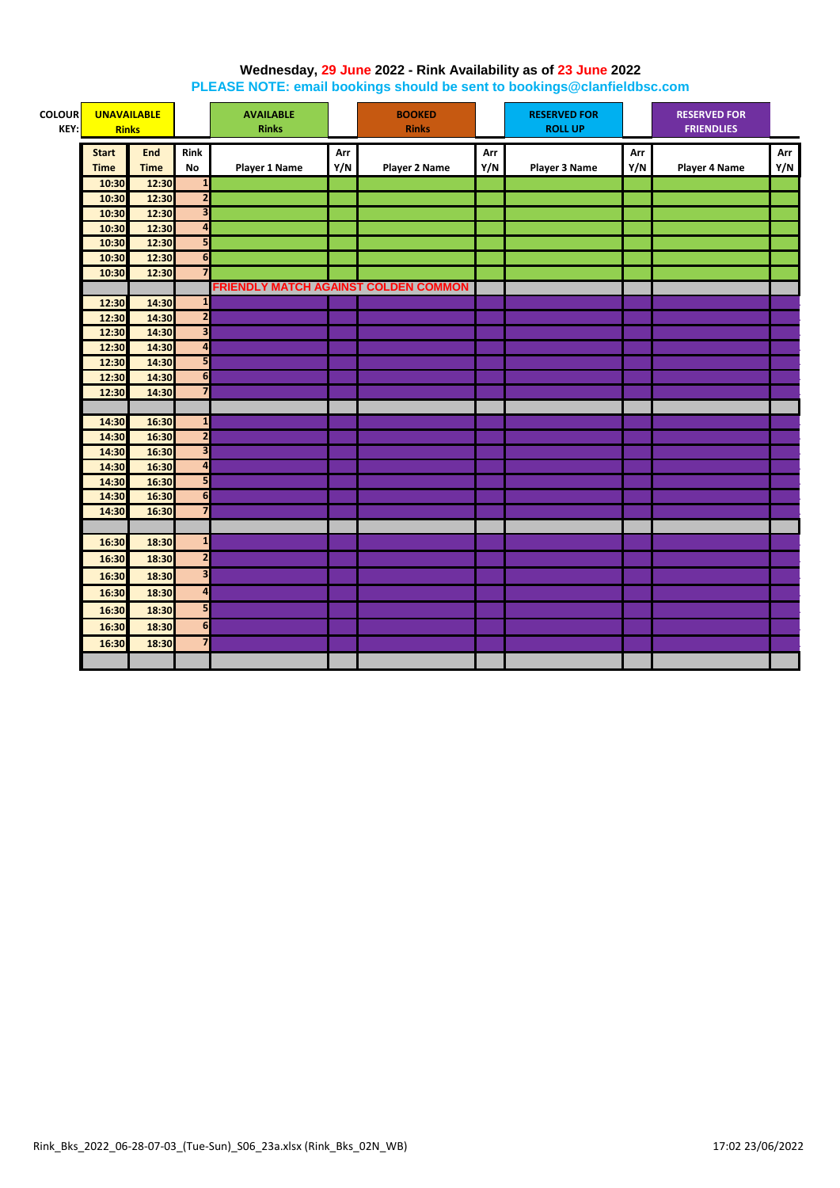# **Wednesday, 29 June 2022 - Rink Availability as of 23 June 2022**

**PLEASE NOTE: email bookings should be sent to bookings@clanfieldbsc.com**

| <b>COLOUR</b><br>KEY: | <b>UNAVAILABLE</b><br><b>Rinks</b> |             |                              | <b>AVAILABLE</b><br><b>Rinks</b> |     | <b>BOOKED</b><br><b>Rinks</b>        |     | <b>RESERVED FOR</b><br><b>ROLL UP</b> |     | <b>RESERVED FOR</b><br><b>FRIENDLIES</b> |     |
|-----------------------|------------------------------------|-------------|------------------------------|----------------------------------|-----|--------------------------------------|-----|---------------------------------------|-----|------------------------------------------|-----|
|                       | <b>Start</b>                       | <b>End</b>  | Rink                         |                                  | Arr |                                      | Arr |                                       | Arr |                                          | Arr |
|                       | <b>Time</b>                        | <b>Time</b> | No                           | <b>Player 1 Name</b>             | Y/N | <b>Player 2 Name</b>                 | Y/N | <b>Player 3 Name</b>                  | Y/N | Player 4 Name                            | Y/N |
|                       | 10:30                              | 12:30       | $\mathbf{1}$                 |                                  |     |                                      |     |                                       |     |                                          |     |
|                       | 10:30                              | 12:30       | $\overline{2}$               |                                  |     |                                      |     |                                       |     |                                          |     |
|                       | 10:30                              | 12:30       | $\overline{\mathbf{3}}$      |                                  |     |                                      |     |                                       |     |                                          |     |
|                       | 10:30                              | 12:30       | $\overline{\mathbf{A}}$      |                                  |     |                                      |     |                                       |     |                                          |     |
|                       | 10:30                              | 12:30       | 5                            |                                  |     |                                      |     |                                       |     |                                          |     |
|                       | 10:30                              | 12:30       | 6                            |                                  |     |                                      |     |                                       |     |                                          |     |
|                       | 10:30                              | 12:30       | $\overline{7}$               |                                  |     |                                      |     |                                       |     |                                          |     |
|                       |                                    |             |                              |                                  |     | FRIENDLY MATCH AGAINST COLDEN COMMON |     |                                       |     |                                          |     |
|                       | 12:30                              | 14:30       | $\mathbf{1}$                 |                                  |     |                                      |     |                                       |     |                                          |     |
|                       | 12:30                              | 14:30       | $\overline{\mathbf{c}}$      |                                  |     |                                      |     |                                       |     |                                          |     |
|                       | 12:30                              | 14:30       | $\overline{\mathbf{3}}$      |                                  |     |                                      |     |                                       |     |                                          |     |
|                       | 12:30                              | 14:30       | $\overline{\mathbf{r}}$<br>5 |                                  |     |                                      |     |                                       |     |                                          |     |
|                       | 12:30                              | 14:30       | 6                            |                                  |     |                                      |     |                                       |     |                                          |     |
|                       | 12:30                              | 14:30       | $\overline{7}$               |                                  |     |                                      |     |                                       |     |                                          |     |
|                       | 12:30                              | 14:30       |                              |                                  |     |                                      |     |                                       |     |                                          |     |
|                       | 14:30                              | 16:30       | $\mathbf{1}$                 |                                  |     |                                      |     |                                       |     |                                          |     |
|                       | 14:30                              | 16:30       | $\overline{\mathbf{2}}$      |                                  |     |                                      |     |                                       |     |                                          |     |
|                       | 14:30                              | 16:30       | $\overline{\mathbf{3}}$      |                                  |     |                                      |     |                                       |     |                                          |     |
|                       | 14:30                              | 16:30       | $\overline{\mathbf{a}}$      |                                  |     |                                      |     |                                       |     |                                          |     |
|                       | 14:30                              | 16:30       | 5                            |                                  |     |                                      |     |                                       |     |                                          |     |
|                       | 14:30                              | 16:30       | 6                            |                                  |     |                                      |     |                                       |     |                                          |     |
|                       | 14:30                              | 16:30       | $\overline{7}$               |                                  |     |                                      |     |                                       |     |                                          |     |
|                       |                                    |             |                              |                                  |     |                                      |     |                                       |     |                                          |     |
|                       | 16:30                              | 18:30       | $\mathbf{1}$                 |                                  |     |                                      |     |                                       |     |                                          |     |
|                       | 16:30                              | 18:30       | $\mathbf{2}$                 |                                  |     |                                      |     |                                       |     |                                          |     |
|                       | 16:30                              | 18:30       | $\overline{\mathbf{3}}$      |                                  |     |                                      |     |                                       |     |                                          |     |
|                       | 16:30                              | 18:30       | 4                            |                                  |     |                                      |     |                                       |     |                                          |     |
|                       |                                    |             | 5                            |                                  |     |                                      |     |                                       |     |                                          |     |
|                       | 16:30                              | 18:30       |                              |                                  |     |                                      |     |                                       |     |                                          |     |
|                       | 16:30                              | 18:30       | 6                            |                                  |     |                                      |     |                                       |     |                                          |     |
|                       | 16:30                              | 18:30       | $\overline{7}$               |                                  |     |                                      |     |                                       |     |                                          |     |
|                       |                                    |             |                              |                                  |     |                                      |     |                                       |     |                                          |     |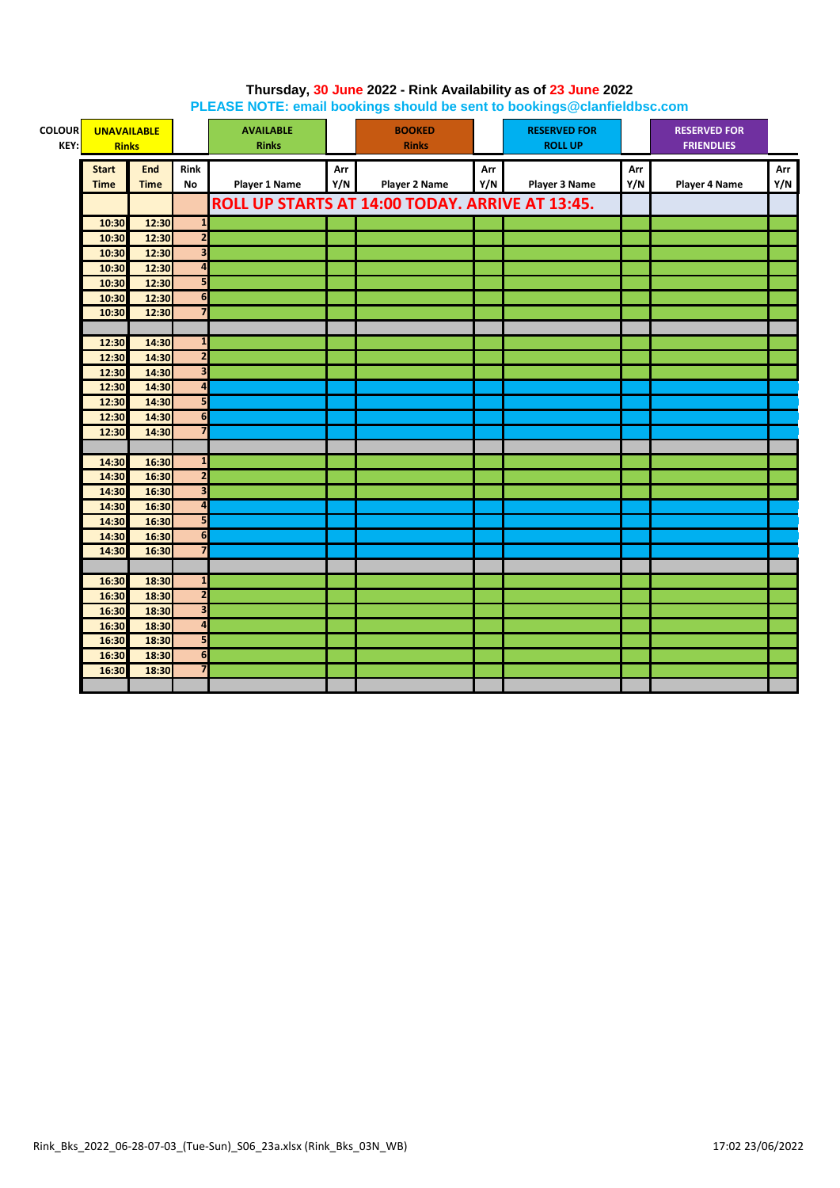| <b>COLOUR</b><br>KEY: | <b>UNAVAILABLE</b><br><b>Rinks</b> |             |                         | <b>AVAILABLE</b><br><b>Rinks</b> |     | <b>BOOKED</b><br><b>Rinks</b>                   |     | <b>RESERVED FOR</b><br><b>ROLL UP</b> |     | <b>RESERVED FOR</b><br><b>FRIENDLIES</b> |     |
|-----------------------|------------------------------------|-------------|-------------------------|----------------------------------|-----|-------------------------------------------------|-----|---------------------------------------|-----|------------------------------------------|-----|
|                       | <b>Start</b>                       | End         | <b>Rink</b>             |                                  | Arr |                                                 | Arr |                                       | Arr |                                          | Arr |
|                       | <b>Time</b>                        | <b>Time</b> | <b>No</b>               | <b>Player 1 Name</b>             | Y/N | <b>Player 2 Name</b>                            | Y/N | Player 3 Name                         | Y/N | <b>Player 4 Name</b>                     | Y/N |
|                       |                                    |             |                         |                                  |     | ROLL UP STARTS AT 14:00 TODAY. ARRIVE AT 13:45. |     |                                       |     |                                          |     |
|                       | 10:30                              | 12:30       | $\mathbf{1}$            |                                  |     |                                                 |     |                                       |     |                                          |     |
|                       | 10:30                              | 12:30       | $\overline{2}$          |                                  |     |                                                 |     |                                       |     |                                          |     |
|                       | 10:30                              | 12:30       | $\overline{\mathbf{3}}$ |                                  |     |                                                 |     |                                       |     |                                          |     |
|                       | 10:30                              | 12:30       | $\overline{\mathbf{a}}$ |                                  |     |                                                 |     |                                       |     |                                          |     |
|                       | 10:30                              | 12:30       | 5                       |                                  |     |                                                 |     |                                       |     |                                          |     |
|                       | 10:30                              | 12:30       | 6                       |                                  |     |                                                 |     |                                       |     |                                          |     |
|                       | 10:30                              | 12:30       | $\overline{7}$          |                                  |     |                                                 |     |                                       |     |                                          |     |
|                       |                                    |             |                         |                                  |     |                                                 |     |                                       |     |                                          |     |
|                       | 12:30                              | 14:30       | $\mathbf{1}$            |                                  |     |                                                 |     |                                       |     |                                          |     |
|                       | 12:30                              | 14:30       | $\overline{2}$          |                                  |     |                                                 |     |                                       |     |                                          |     |
|                       | 12:30                              | 14:30       | 3                       |                                  |     |                                                 |     |                                       |     |                                          |     |
|                       | 12:30                              | 14:30       | 4                       |                                  |     |                                                 |     |                                       |     |                                          |     |
|                       | 12:30                              | 14:30       | 5                       |                                  |     |                                                 |     |                                       |     |                                          |     |
|                       | 12:30                              | 14:30       | $\overline{\mathbf{6}}$ |                                  |     |                                                 |     |                                       |     |                                          |     |
|                       | 12:30                              | 14:30       | $\overline{\mathbf{z}}$ |                                  |     |                                                 |     |                                       |     |                                          |     |
|                       |                                    |             |                         |                                  |     |                                                 |     |                                       |     |                                          |     |
|                       | 14:30                              | 16:30       | $\mathbf{1}$            |                                  |     |                                                 |     |                                       |     |                                          |     |
|                       | 14:30                              | 16:30       | $\overline{\mathbf{c}}$ |                                  |     |                                                 |     |                                       |     |                                          |     |
|                       | 14:30                              | 16:30       | $\overline{\mathbf{3}}$ |                                  |     |                                                 |     |                                       |     |                                          |     |
|                       | 14:30                              | 16:30       | $\overline{\mathbf{a}}$ |                                  |     |                                                 |     |                                       |     |                                          |     |
|                       | 14:30                              | 16:30       | 5                       |                                  |     |                                                 |     |                                       |     |                                          |     |
|                       | 14:30                              | 16:30       | $\overline{6}$          |                                  |     |                                                 |     |                                       |     |                                          |     |
|                       | 14:30                              | 16:30       | 7                       |                                  |     |                                                 |     |                                       |     |                                          |     |
|                       |                                    |             |                         |                                  |     |                                                 |     |                                       |     |                                          |     |
|                       | 16:30                              | 18:30       | $\mathbf{1}$            |                                  |     |                                                 |     |                                       |     |                                          |     |
|                       | 16:30                              | 18:30       | $\overline{2}$          |                                  |     |                                                 |     |                                       |     |                                          |     |
|                       | 16:30                              | 18:30       | 3                       |                                  |     |                                                 |     |                                       |     |                                          |     |
|                       | 16:30                              | 18:30       | $\overline{a}$          |                                  |     |                                                 |     |                                       |     |                                          |     |
|                       | 16:30                              | 18:30       | 5                       |                                  |     |                                                 |     |                                       |     |                                          |     |
|                       | 16:30                              | 18:30       | 6                       |                                  |     |                                                 |     |                                       |     |                                          |     |
|                       | 16:30                              | 18:30       | $\overline{7}$          |                                  |     |                                                 |     |                                       |     |                                          |     |
|                       |                                    |             |                         |                                  |     |                                                 |     |                                       |     |                                          |     |

# **Thursday, 30 June 2022 - Rink Availability as of 23 June 2022 PLEASE NOTE: email bookings should be sent to bookings@clanfieldbsc.com**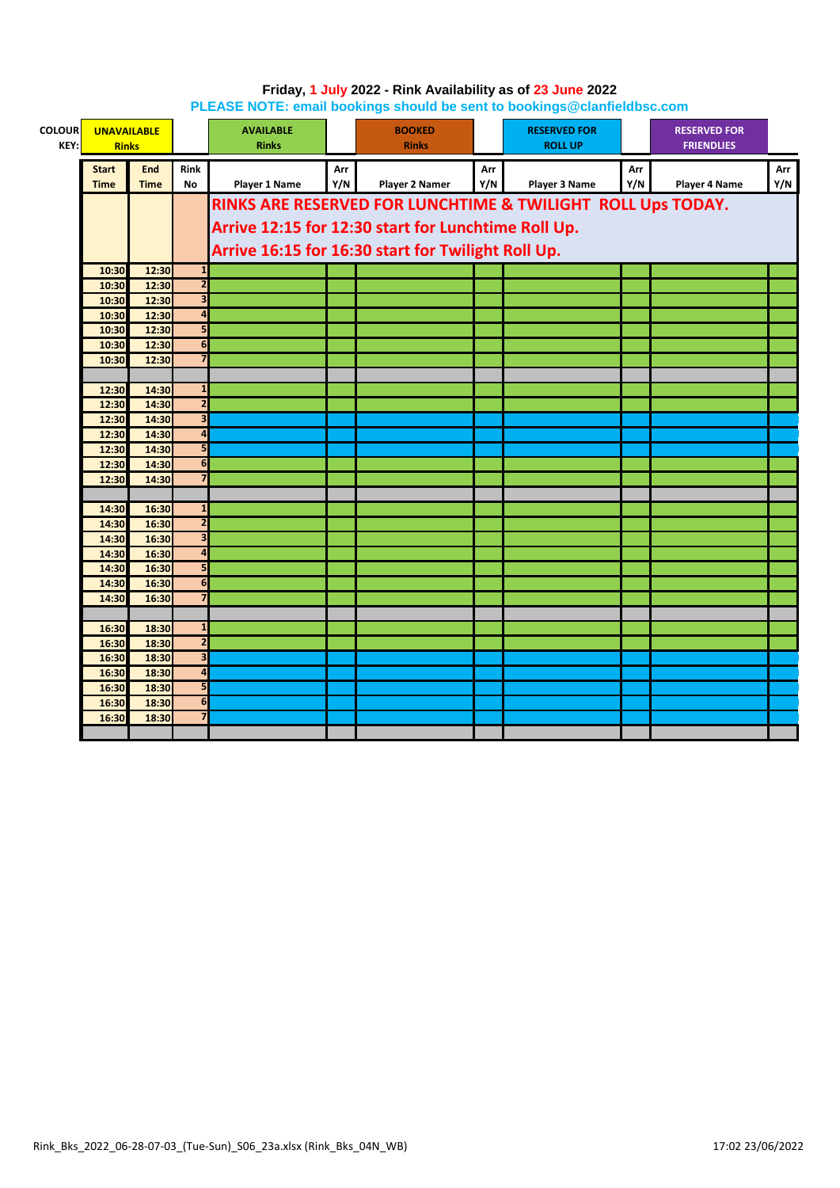| <b>COLOUR</b><br>KEY: | <b>UNAVAILABLE</b><br><b>Rinks</b> |                |                         | <b>AVAILABLE</b><br><b>Rinks</b> |     | <b>BOOKED</b><br><b>Rinks</b>                       |     | <b>RESERVED FOR</b><br><b>ROLL UP</b>                       |     | <b>RESERVED FOR</b><br><b>FRIENDLIES</b> |     |
|-----------------------|------------------------------------|----------------|-------------------------|----------------------------------|-----|-----------------------------------------------------|-----|-------------------------------------------------------------|-----|------------------------------------------|-----|
|                       | <b>Start</b>                       | <b>End</b>     | <b>Rink</b>             |                                  | Arr |                                                     | Arr |                                                             | Arr |                                          | Arr |
|                       | <b>Time</b>                        | <b>Time</b>    | <b>No</b>               | Player 1 Name                    | Y/N | Player 2 Namer                                      | Y/N | Player 3 Name                                               | Y/N | <b>Player 4 Name</b>                     | Y/N |
|                       |                                    |                |                         |                                  |     |                                                     |     | RINKS ARE RESERVED FOR LUNCHTIME & TWILIGHT ROLL Ups TODAY. |     |                                          |     |
|                       |                                    |                |                         |                                  |     | Arrive 12:15 for 12:30 start for Lunchtime Roll Up. |     |                                                             |     |                                          |     |
|                       |                                    |                |                         |                                  |     |                                                     |     |                                                             |     |                                          |     |
|                       |                                    |                |                         |                                  |     | Arrive 16:15 for 16:30 start for Twilight Roll Up.  |     |                                                             |     |                                          |     |
|                       | 10:30                              | 12:30          | $\mathbf{1}$            |                                  |     |                                                     |     |                                                             |     |                                          |     |
|                       | 10:30                              | 12:30          | $\overline{2}$          |                                  |     |                                                     |     |                                                             |     |                                          |     |
|                       | 10:30                              | 12:30          | 3                       |                                  |     |                                                     |     |                                                             |     |                                          |     |
|                       | 10:30                              | 12:30          | $\overline{4}$          |                                  |     |                                                     |     |                                                             |     |                                          |     |
|                       | 10:30                              | 12:30          | 5                       |                                  |     |                                                     |     |                                                             |     |                                          |     |
|                       | 10:30                              | 12:30          | 6                       |                                  |     |                                                     |     |                                                             |     |                                          |     |
|                       | 10:30                              | 12:30          | $\overline{7}$          |                                  |     |                                                     |     |                                                             |     |                                          |     |
|                       |                                    |                |                         |                                  |     |                                                     |     |                                                             |     |                                          |     |
|                       | 12:30                              | 14:30          | 1                       |                                  |     |                                                     |     |                                                             |     |                                          |     |
|                       | 12:30                              | 14:30          | $\overline{2}$          |                                  |     |                                                     |     |                                                             |     |                                          |     |
|                       | 12:30                              | 14:30          | $\overline{\mathbf{3}}$ |                                  |     |                                                     |     |                                                             |     |                                          |     |
|                       | 12:30                              | 14:30          | $\overline{\mathbf{a}}$ |                                  |     |                                                     |     |                                                             |     |                                          |     |
|                       | 12:30                              | 14:30          | 5<br>6                  |                                  |     |                                                     |     |                                                             |     |                                          |     |
|                       | 12:30<br>12:30                     | 14:30<br>14:30 | $\overline{7}$          |                                  |     |                                                     |     |                                                             |     |                                          |     |
|                       |                                    |                |                         |                                  |     |                                                     |     |                                                             |     |                                          |     |
|                       | 14:30                              | 16:30          | 1                       |                                  |     |                                                     |     |                                                             |     |                                          |     |
|                       | 14:30                              | 16:30          | $\overline{2}$          |                                  |     |                                                     |     |                                                             |     |                                          |     |
|                       | 14:30                              | 16:30          | $\overline{\mathbf{3}}$ |                                  |     |                                                     |     |                                                             |     |                                          |     |
|                       | 14:30                              | 16:30          | $\overline{\mathbf{a}}$ |                                  |     |                                                     |     |                                                             |     |                                          |     |
|                       | 14:30                              | 16:30          | 5                       |                                  |     |                                                     |     |                                                             |     |                                          |     |
|                       | 14:30                              | 16:30          | 6                       |                                  |     |                                                     |     |                                                             |     |                                          |     |
|                       | 14:30                              | 16:30          | $\overline{7}$          |                                  |     |                                                     |     |                                                             |     |                                          |     |
|                       |                                    |                |                         |                                  |     |                                                     |     |                                                             |     |                                          |     |
|                       | 16:30                              | 18:30          | $\mathbf{1}$            |                                  |     |                                                     |     |                                                             |     |                                          |     |
|                       | 16:30                              | 18:30          | $\overline{2}$          |                                  |     |                                                     |     |                                                             |     |                                          |     |
|                       | 16:30                              | 18:30          | 3                       |                                  |     |                                                     |     |                                                             |     |                                          |     |
|                       | 16:30                              | 18:30          | $\overline{\mathbf{a}}$ |                                  |     |                                                     |     |                                                             |     |                                          |     |
|                       | 16:30                              | 18:30          | 5                       |                                  |     |                                                     |     |                                                             |     |                                          |     |
|                       | 16:30                              | 18:30          | $\overline{6}$          |                                  |     |                                                     |     |                                                             |     |                                          |     |
|                       | 16:30                              | 18:30          | $\overline{7}$          |                                  |     |                                                     |     |                                                             |     |                                          |     |
|                       |                                    |                |                         |                                  |     |                                                     |     |                                                             |     |                                          |     |

# **Friday, 1 July 2022 - Rink Availability as of 23 June 2022 PLEASE NOTE: email bookings should be sent to bookings@clanfieldbsc.com**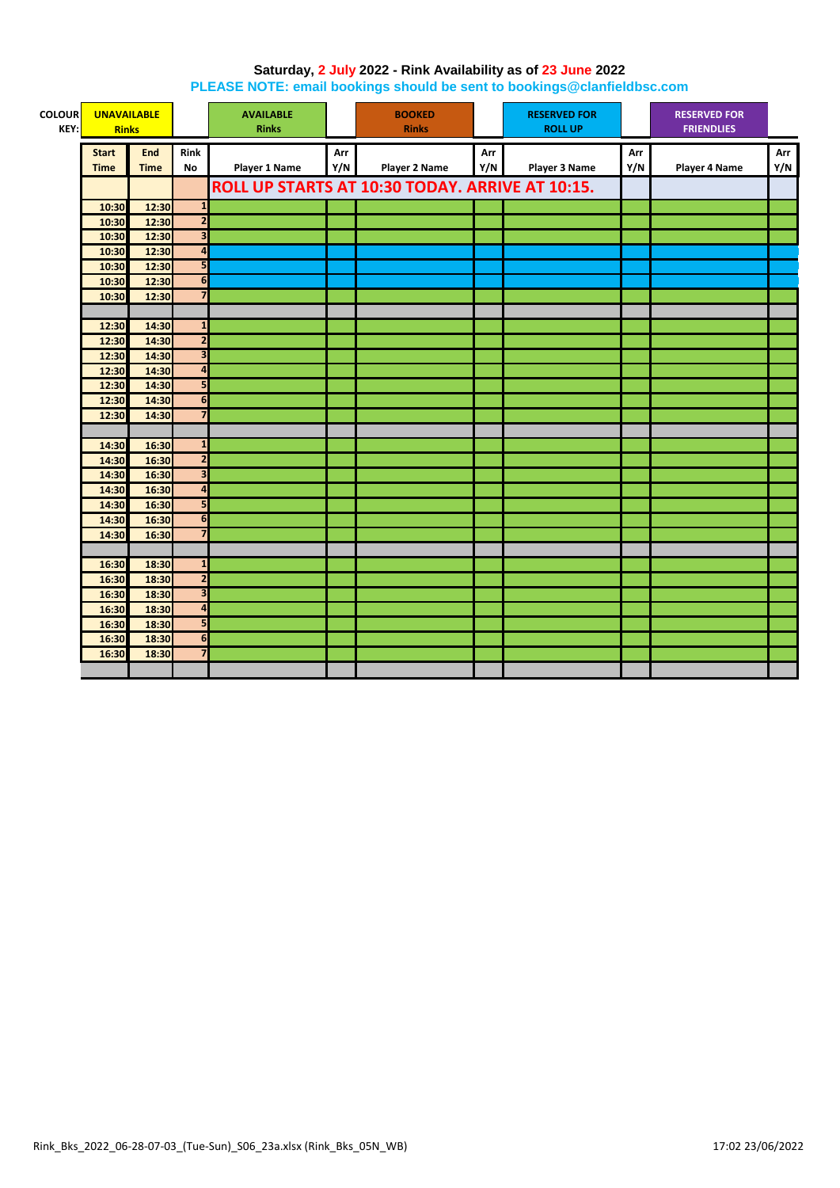#### **Saturday, 2 July 2022 - Rink Availability as of 23 June 2022 PLEASE NOTE: email bookings should be sent to bookings@clanfieldbsc.com**

| <b>COLOUR</b> | <b>UNAVAILABLE</b> |                | <b>AVAILABLE</b>                        |                      | <b>BOOKED</b> |                                                 | <b>RESERVED FOR</b> |                | <b>RESERVED FOR</b> |                      |     |
|---------------|--------------------|----------------|-----------------------------------------|----------------------|---------------|-------------------------------------------------|---------------------|----------------|---------------------|----------------------|-----|
| KEY:          | <b>Rinks</b>       |                |                                         | <b>Rinks</b>         |               | <b>Rinks</b>                                    |                     | <b>ROLL UP</b> |                     | <b>FRIENDLIES</b>    |     |
|               | <b>Start</b>       | End            | Rink                                    |                      | Arr           |                                                 | Arr                 |                | Arr                 |                      | Arr |
|               | <b>Time</b>        | <b>Time</b>    | No                                      | <b>Player 1 Name</b> | Y/N           | <b>Player 2 Name</b>                            | Y/N                 | Player 3 Name  | Y/N                 | <b>Player 4 Name</b> | Y/N |
|               |                    |                |                                         |                      |               | ROLL UP STARTS AT 10:30 TODAY. ARRIVE AT 10:15. |                     |                |                     |                      |     |
|               |                    |                |                                         |                      |               |                                                 |                     |                |                     |                      |     |
|               | 10:30              | 12:30          | $\mathbf{1}$<br>$\overline{\mathbf{2}}$ |                      |               |                                                 |                     |                |                     |                      |     |
|               | 10:30              | 12:30          | $\overline{\mathbf{3}}$                 |                      |               |                                                 |                     |                |                     |                      |     |
|               | 10:30              | 12:30<br>12:30 | $\overline{\mathbf{A}}$                 |                      |               |                                                 |                     |                |                     |                      |     |
|               | 10:30              | 12:30          | 5                                       |                      |               |                                                 |                     |                |                     |                      |     |
|               | 10:30              | 12:30          | $\overline{\mathbf{6}}$                 |                      |               |                                                 |                     |                |                     |                      |     |
|               | 10:30              | 12:30          | $\overline{7}$                          |                      |               |                                                 |                     |                |                     |                      |     |
|               | 10:30              |                |                                         |                      |               |                                                 |                     |                |                     |                      |     |
|               | 12:30              | 14:30          | $\mathbf{1}$                            |                      |               |                                                 |                     |                |                     |                      |     |
|               | 12:30              | 14:30          | $\overline{2}$                          |                      |               |                                                 |                     |                |                     |                      |     |
|               | 12:30              | 14:30          | $\overline{\mathbf{3}}$                 |                      |               |                                                 |                     |                |                     |                      |     |
|               | 12:30              | 14:30          | $\overline{a}$                          |                      |               |                                                 |                     |                |                     |                      |     |
|               | 12:30              | 14:30          | 5                                       |                      |               |                                                 |                     |                |                     |                      |     |
|               | 12:30              | 14:30          | 6                                       |                      |               |                                                 |                     |                |                     |                      |     |
|               | 12:30              | 14:30          | $\overline{7}$                          |                      |               |                                                 |                     |                |                     |                      |     |
|               |                    |                |                                         |                      |               |                                                 |                     |                |                     |                      |     |
|               | 14:30              | 16:30          | $\mathbf{1}$                            |                      |               |                                                 |                     |                |                     |                      |     |
|               | 14:30              | 16:30          | $\overline{2}$                          |                      |               |                                                 |                     |                |                     |                      |     |
|               | 14:30              | 16:30          | $\overline{\mathbf{3}}$                 |                      |               |                                                 |                     |                |                     |                      |     |
|               | 14:30              | 16:30          | $\overline{4}$                          |                      |               |                                                 |                     |                |                     |                      |     |
|               | 14:30              | 16:30          | 5                                       |                      |               |                                                 |                     |                |                     |                      |     |
|               | 14:30              | 16:30          | $6\phantom{1}6$                         |                      |               |                                                 |                     |                |                     |                      |     |
|               | 14:30              | 16:30          | $\overline{7}$                          |                      |               |                                                 |                     |                |                     |                      |     |
|               |                    |                |                                         |                      |               |                                                 |                     |                |                     |                      |     |
|               | 16:30              | 18:30          | $\mathbf{1}$                            |                      |               |                                                 |                     |                |                     |                      |     |
|               | 16:30              | 18:30          | $\overline{\mathbf{c}}$                 |                      |               |                                                 |                     |                |                     |                      |     |
|               | 16:30              | 18:30          | $\overline{\mathbf{3}}$                 |                      |               |                                                 |                     |                |                     |                      |     |
|               | 16:30              | 18:30          | $\overline{\mathbf{4}}$                 |                      |               |                                                 |                     |                |                     |                      |     |
|               | 16:30              | 18:30          | 5                                       |                      |               |                                                 |                     |                |                     |                      |     |
|               | 16:30              | 18:30          | 6                                       |                      |               |                                                 |                     |                |                     |                      |     |
|               | 16:30              | 18:30          | $\overline{\mathbf{z}}$                 |                      |               |                                                 |                     |                |                     |                      |     |
|               |                    |                |                                         |                      |               |                                                 |                     |                |                     |                      |     |